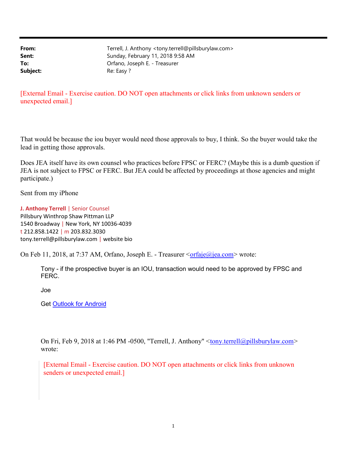**From:** Terrell, J. Anthony <tony.terrell@pillsburylaw.com> Sent: Sunday, February 11, 2018 9:58 AM To: Orfano, Joseph E. - Treasurer Subject: Re: Easy ?

[External Email - Exercise caution. DO NOT open attachments or click links from unknown senders or unexpected email.]

That would be because the iou buyer would need those approvals to buy, I think. So the buyer would take the lead in getting those approvals.

Does JEA itself have its own counsel who practices before FPSC or FERC? (Maybe this is a dumb question if JEA is not subject to FPSC or FERC. But JEA could be affected by proceedings at those agencies and might participate.)

Sent from my iPhone

J. Anthony Terrell | Senior Counsel Pillsbury Winthrop Shaw Pittman LLP 1540 Broadway | New York, NY 10036-4039 t 212.858.1422 | m 203.832.3030 tony.terrell@pillsburylaw.com | website bio

On Feb 11, 2018, at 7:37 AM, Orfano, Joseph E. - Treasurer  $\frac{\text{c} \cdot \text{of} \cdot \text{ca}(\omega)}{\text{ca} \cdot \text{com}}$  wrote:

Tony - if the prospective buyer is an IOU, transaction would need to be approved by FPSC and FERC.

Joe

Get Outlook for Android

On Fri, Feb 9, 2018 at 1:46 PM -0500, "Terrell, J. Anthony" <*tony.terrell@pillsburylaw.com>* wrote:

[External Email - Exercise caution. DO NOT open attachments or click links from unknown senders or unexpected email.]